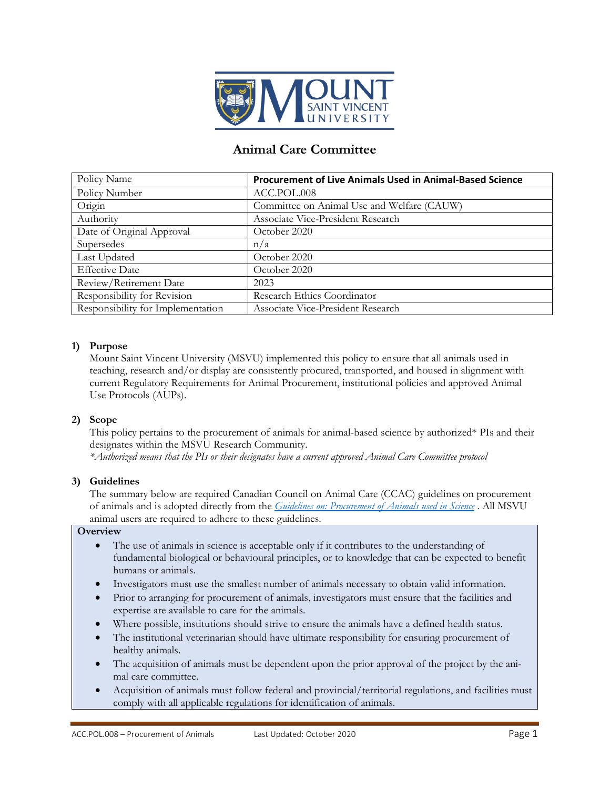

# **Animal Care Committee**

| Policy Name                       | <b>Procurement of Live Animals Used in Animal-Based Science</b> |
|-----------------------------------|-----------------------------------------------------------------|
| Policy Number                     | ACC.POL.008                                                     |
| Origin                            | Committee on Animal Use and Welfare (CAUW)                      |
| Authority                         | Associate Vice-President Research                               |
| Date of Original Approval         | October 2020                                                    |
| Supersedes                        | n/a                                                             |
| Last Updated                      | October 2020                                                    |
| <b>Effective Date</b>             | October 2020                                                    |
| Review/Retirement Date            | 2023                                                            |
| Responsibility for Revision       | Research Ethics Coordinator                                     |
| Responsibility for Implementation | Associate Vice-President Research                               |

## **1) Purpose**

Mount Saint Vincent University (MSVU) implemented this policy to ensure that all animals used in teaching, research and/or display are consistently procured, transported, and housed in alignment with current Regulatory Requirements for Animal Procurement, institutional policies and approved Animal Use Protocols (AUPs).

#### **2) Scope**

This policy pertains to the procurement of animals for animal-based science by authorized\* PIs and their designates within the MSVU Research Community.

*\*Authorized means that the PIs or their designates have a current approved Animal Care Committee protocol*

#### **3) Guidelines**

The summary below are required Canadian Council on Animal Care (CCAC) guidelines on procurement of animals and is adopted directly from the *[Guidelines on: Procurement of Animals used in Science](https://www.ccac.ca/Documents/Standards/Guidelines/Procurement.pdf)* . All MSVU animal users are required to adhere to these guidelines.

## **Overview**

- The use of animals in science is acceptable only if it contributes to the understanding of fundamental biological or behavioural principles, or to knowledge that can be expected to benefit humans or animals.
- Investigators must use the smallest number of animals necessary to obtain valid information.
- Prior to arranging for procurement of animals, investigators must ensure that the facilities and expertise are available to care for the animals.
- Where possible, institutions should strive to ensure the animals have a defined health status.
- The institutional veterinarian should have ultimate responsibility for ensuring procurement of healthy animals.
- The acquisition of animals must be dependent upon the prior approval of the project by the animal care committee.
- Acquisition of animals must follow federal and provincial/territorial regulations, and facilities must comply with all applicable regulations for identification of animals.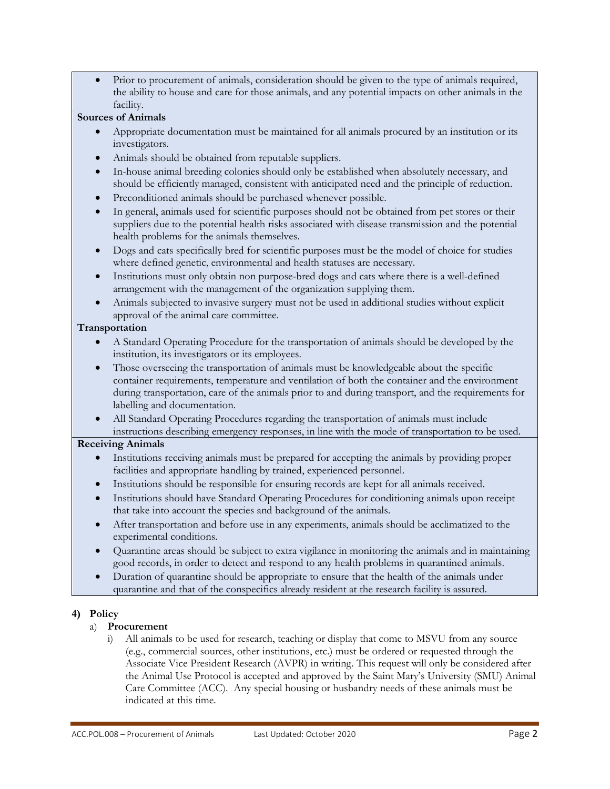• Prior to procurement of animals, consideration should be given to the type of animals required, the ability to house and care for those animals, and any potential impacts on other animals in the facility.

### **Sources of Animals**

- Appropriate documentation must be maintained for all animals procured by an institution or its investigators.
- Animals should be obtained from reputable suppliers.
- In-house animal breeding colonies should only be established when absolutely necessary, and should be efficiently managed, consistent with anticipated need and the principle of reduction.
- Preconditioned animals should be purchased whenever possible.
- In general, animals used for scientific purposes should not be obtained from pet stores or their suppliers due to the potential health risks associated with disease transmission and the potential health problems for the animals themselves.
- Dogs and cats specifically bred for scientific purposes must be the model of choice for studies where defined genetic, environmental and health statuses are necessary.
- Institutions must only obtain non purpose-bred dogs and cats where there is a well-defined arrangement with the management of the organization supplying them.
- Animals subjected to invasive surgery must not be used in additional studies without explicit approval of the animal care committee.

#### **Transportation**

- A Standard Operating Procedure for the transportation of animals should be developed by the institution, its investigators or its employees.
- Those overseeing the transportation of animals must be knowledgeable about the specific container requirements, temperature and ventilation of both the container and the environment during transportation, care of the animals prior to and during transport, and the requirements for labelling and documentation.
- All Standard Operating Procedures regarding the transportation of animals must include instructions describing emergency responses, in line with the mode of transportation to be used.

# **Receiving Animals**

- Institutions receiving animals must be prepared for accepting the animals by providing proper facilities and appropriate handling by trained, experienced personnel.
- Institutions should be responsible for ensuring records are kept for all animals received.
- Institutions should have Standard Operating Procedures for conditioning animals upon receipt that take into account the species and background of the animals.
- After transportation and before use in any experiments, animals should be acclimatized to the experimental conditions.
- Quarantine areas should be subject to extra vigilance in monitoring the animals and in maintaining good records, in order to detect and respond to any health problems in quarantined animals.
- Duration of quarantine should be appropriate to ensure that the health of the animals under quarantine and that of the conspecifics already resident at the research facility is assured.

# **4) Policy**

# a) **Procurement**

i) All animals to be used for research, teaching or display that come to MSVU from any source (e.g., commercial sources, other institutions, etc.) must be ordered or requested through the Associate Vice President Research (AVPR) in writing. This request will only be considered after the Animal Use Protocol is accepted and approved by the Saint Mary's University (SMU) Animal Care Committee (ACC). Any special housing or husbandry needs of these animals must be indicated at this time.